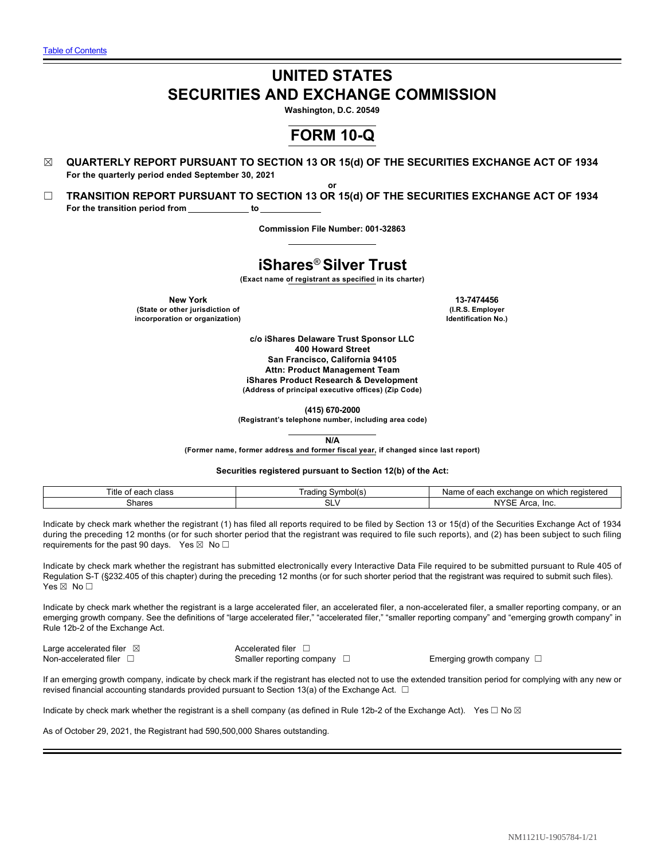# **UNITED STATES SECURITIES AND EXCHANGE COMMISSION**

**Washington, D.C. 20549**

# **FORM 10-Q**

- ☒ **QUARTERLY REPORT PURSUANT TO SECTION 13 OR 15(d) OF THE SECURITIES EXCHANGE ACT OF 1934 For the quarterly period ended September 30, 2021**
- ☐ **TRANSITION REPORT PURSUANT TO SECTION 13 OR 15(d) OF THE SECURITIES EXCHANGE ACT OF 1934** For the transition period from \_\_\_\_\_\_\_\_\_\_\_\_ to

**Commission File Number: 001-32863**

**or**

# **iShares**® **Silver Trust**

**(Exact name of registrant as specified in its charter)**

**New York 13-7474456 (State or other jurisdiction of incorporation or organization)**

**(I.R.S. Employer Identification No.)**

**c/o iShares Delaware Trust Sponsor LLC 400 Howard Street San Francisco, California 94105 Attn: Product Management Team iShares Product Research & Development (Address of principal executive offices) (Zip Code)**

**(415) 670-2000**

**(Registrant's telephone number, including area code)**

**N/A**

**(Former name, former address and former fiscal year, if changed since last report)**

**Securities registered pursuant to Section 12(b) of the Act:**

| Title<br>cloce<br>$\sim$ $\sim$ $\sim$ $\sim$<br>~<br>.,<br><b>6951</b><br>. udse<br>vı | radinc<br>∵holís⊥ | on<br>exchange<br>registered<br>ı whicl<br>Nar<br><br>eacı<br>ັບ             |
|-----------------------------------------------------------------------------------------|-------------------|------------------------------------------------------------------------------|
| Shares                                                                                  | ັ                 | $\mathbf{N}$<br>$\sim$<br>$\mathbf{u}$ re<br>NL<br>- דרי<br><b>RIGG</b><br>┅ |

Indicate by check mark whether the registrant (1) has filed all reports required to be filed by Section 13 or 15(d) of the Securities Exchange Act of 1934 during the preceding 12 months (or for such shorter period that the registrant was required to file such reports), and (2) has been subject to such filing requirements for the past 90 days. Yes  $\boxtimes$  No $\square$ 

Indicate by check mark whether the registrant has submitted electronically every Interactive Data File required to be submitted pursuant to Rule 405 of Regulation S-T (§232.405 of this chapter) during the preceding 12 months (or for such shorter period that the registrant was required to submit such files). Yes ⊠ No □

Indicate by check mark whether the registrant is a large accelerated filer, an accelerated filer, a non-accelerated filer, a smaller reporting company, or an emerging growth company. See the definitions of "large accelerated filer," "accelerated filer," "smaller reporting company" and "emerging growth company" in Rule 12b-2 of the Exchange Act.

Large accelerated filer  $\boxtimes$  Accelerated filer  $\Box$ Non-accelerated filer  ☐ Smaller reporting company  ☐ Emerging growth company ☐

If an emerging growth company, indicate by check mark if the registrant has elected not to use the extended transition period for complying with any new or revised financial accounting standards provided pursuant to Section 13(a) of the Exchange Act.  $\Box$ 

Indicate by check mark whether the registrant is a shell company (as defined in Rule 12b-2 of the Exchange Act). Yes □ No ⊠

As of October 29, 2021, the Registrant had 590,500,000 Shares outstanding.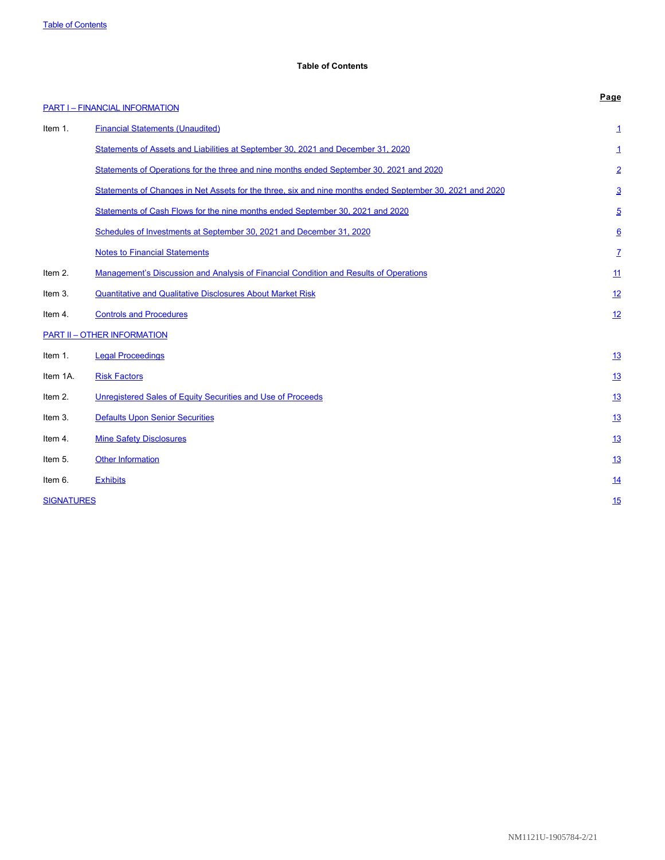## <span id="page-1-0"></span>**Table of Contents**

|                   | <b>PART I - FINANCIAL INFORMATION</b>                                                                    | Page            |
|-------------------|----------------------------------------------------------------------------------------------------------|-----------------|
| Item 1.           | <b>Financial Statements (Unaudited)</b>                                                                  | 1               |
|                   | Statements of Assets and Liabilities at September 30, 2021 and December 31, 2020                         | <u>1</u>        |
|                   | Statements of Operations for the three and nine months ended September 30, 2021 and 2020                 | $\overline{2}$  |
|                   | Statements of Changes in Net Assets for the three, six and nine months ended September 30, 2021 and 2020 | $\overline{3}$  |
|                   | Statements of Cash Flows for the nine months ended September 30, 2021 and 2020                           | $\overline{5}$  |
|                   | Schedules of Investments at September 30, 2021 and December 31, 2020                                     | $\underline{6}$ |
|                   | <b>Notes to Financial Statements</b>                                                                     | Z               |
| Item 2.           | Management's Discussion and Analysis of Financial Condition and Results of Operations                    | 11              |
| Item 3.           | <b>Quantitative and Qualitative Disclosures About Market Risk</b>                                        | 12              |
| Item 4.           | <b>Controls and Procedures</b>                                                                           | 12              |
|                   | PART II - OTHER INFORMATION                                                                              |                 |
| Item 1.           | <b>Legal Proceedings</b>                                                                                 | <u>13</u>       |
| Item 1A.          | <b>Risk Factors</b>                                                                                      | 13              |
| Item 2.           | Unregistered Sales of Equity Securities and Use of Proceeds                                              | 13              |
| Item 3.           | <b>Defaults Upon Senior Securities</b>                                                                   | 13              |
| Item 4.           | <b>Mine Safety Disclosures</b>                                                                           | 13              |
| Item 5.           | <b>Other Information</b>                                                                                 | 13              |
| Item 6.           | <b>Exhibits</b>                                                                                          | 14              |
| <b>SIGNATURES</b> |                                                                                                          | 15              |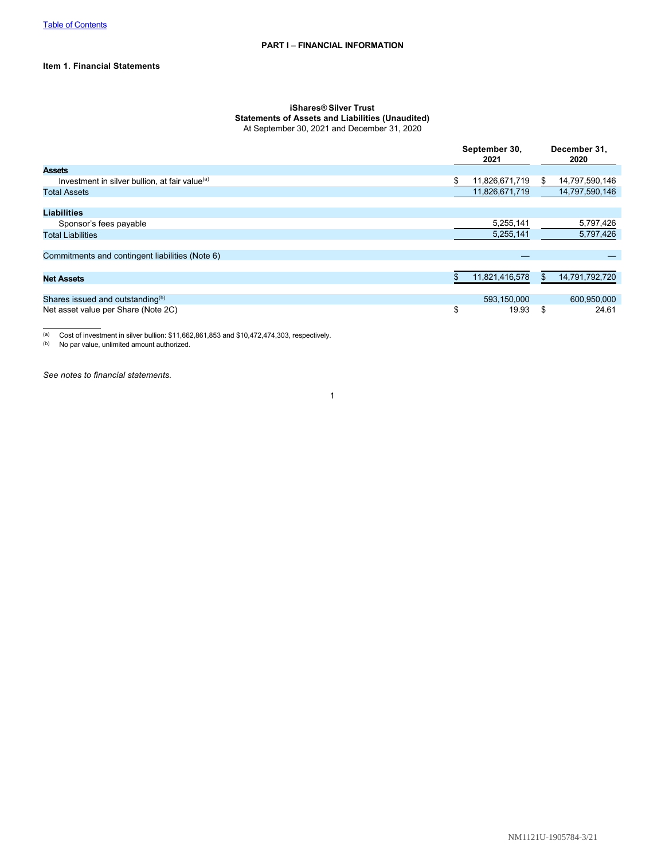## **Item 1. Financial Statements**

## <span id="page-2-0"></span>**iShares**® **Silver Trust Statements of Assets and Liabilities (Unaudited)** At September 30, 2021 and December 31, 2020

|                                                            | September 30,<br>2021 |    | December 31,<br>2020 |
|------------------------------------------------------------|-----------------------|----|----------------------|
| <b>Assets</b>                                              |                       |    |                      |
| Investment in silver bullion, at fair value <sup>(a)</sup> | \$<br>11,826,671,719  | S. | 14,797,590,146       |
| <b>Total Assets</b>                                        | 11,826,671,719        |    | 14,797,590,146       |
|                                                            |                       |    |                      |
| <b>Liabilities</b>                                         |                       |    |                      |
| Sponsor's fees payable                                     | 5,255,141             |    | 5,797,426            |
| <b>Total Liabilities</b>                                   | 5,255,141             |    | 5,797,426            |
|                                                            |                       |    |                      |
| Commitments and contingent liabilities (Note 6)            |                       |    |                      |
|                                                            |                       |    |                      |
| <b>Net Assets</b>                                          | 11,821,416,578        |    | 14,791,792,720       |
|                                                            |                       |    |                      |
| Shares issued and outstanding $(b)$                        | 593,150,000           |    | 600,950,000          |
| Net asset value per Share (Note 2C)                        | \$<br>19.93           | \$ | 24.61                |

 $(a)$  Cost of investment in silver bullion: \$11,662,861,853 and \$10,472,474,303, respectively.

(b) No par value, unlimited amount authorized.

*See notes to financial statements.*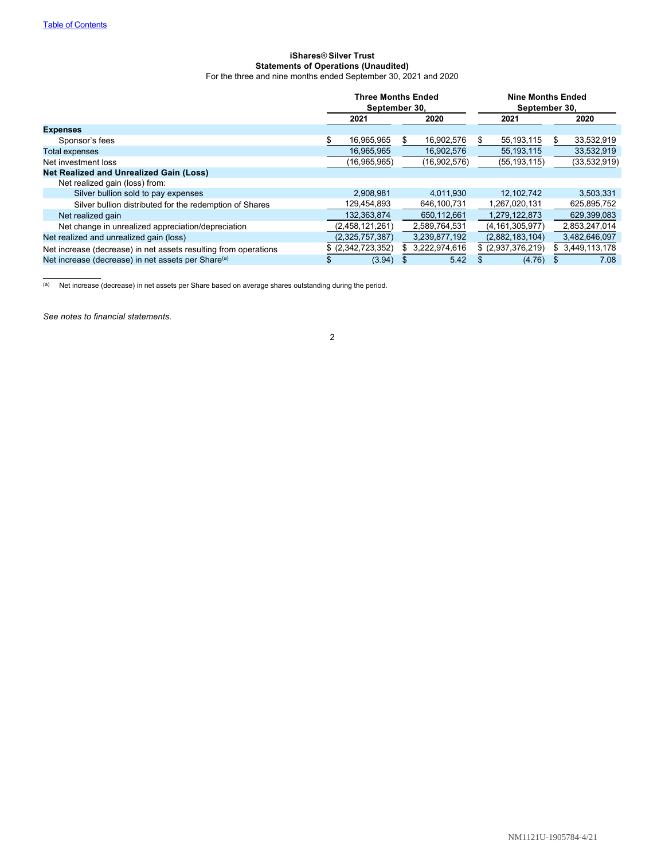## <span id="page-3-0"></span>**iShares**® **Silver Trust Statements of Operations (Unaudited)** For the three and nine months ended September 30, 2021 and 2020

|                                                                 | <b>Three Months Ended</b><br>September 30. |                     | <b>Nine Months Ended</b><br>September 30. |     |                     |    |                 |
|-----------------------------------------------------------------|--------------------------------------------|---------------------|-------------------------------------------|-----|---------------------|----|-----------------|
|                                                                 |                                            | 2021                | 2020                                      |     | 2021                |    | 2020            |
| <b>Expenses</b>                                                 |                                            |                     |                                           |     |                     |    |                 |
| Sponsor's fees                                                  |                                            | 16,965,965          | \$<br>16,902,576                          | \$. | 55, 193, 115        | \$ | 33,532,919      |
| <b>Total expenses</b>                                           |                                            | 16,965,965          | 16.902.576                                |     | 55,193,115          |    | 33,532,919      |
| Net investment loss                                             |                                            | (16,965,965)        | (16,902,576)                              |     | (55, 193, 115)      |    | (33,532,919)    |
| <b>Net Realized and Unrealized Gain (Loss)</b>                  |                                            |                     |                                           |     |                     |    |                 |
| Net realized gain (loss) from:                                  |                                            |                     |                                           |     |                     |    |                 |
| Silver bullion sold to pay expenses                             |                                            | 2.908.981           | 4.011.930                                 |     | 12.102.742          |    | 3,503,331       |
| Silver bullion distributed for the redemption of Shares         |                                            | 129,454,893         | 646,100,731                               |     | 1,267,020,131       |    | 625,895,752     |
| Net realized gain                                               |                                            | 132,363,874         | 650,112,661                               |     | 1,279,122,873       |    | 629,399,083     |
| Net change in unrealized appreciation/depreciation              |                                            | (2,458,121,261)     | 2.589.764.531                             |     | (4, 161, 305, 977)  |    | 2,853,247,014   |
| Net realized and unrealized gain (loss)                         |                                            | (2,325,757,387)     | 3,239,877,192                             |     | (2,882,183,104)     |    | 3,482,646,097   |
| Net increase (decrease) in net assets resulting from operations |                                            | $$$ (2,342,723,352) | \$3,222,974,616                           |     | $$$ (2,937,376,219) |    | \$3,449,113,178 |
| Net increase (decrease) in net assets per Share <sup>(a)</sup>  |                                            | (3.94)              | 5.42                                      |     | (4.76)              |    | 7.08            |

(a) Net increase (decrease) in net assets per Share based on average shares outstanding during the period.

*See notes to financial statements.*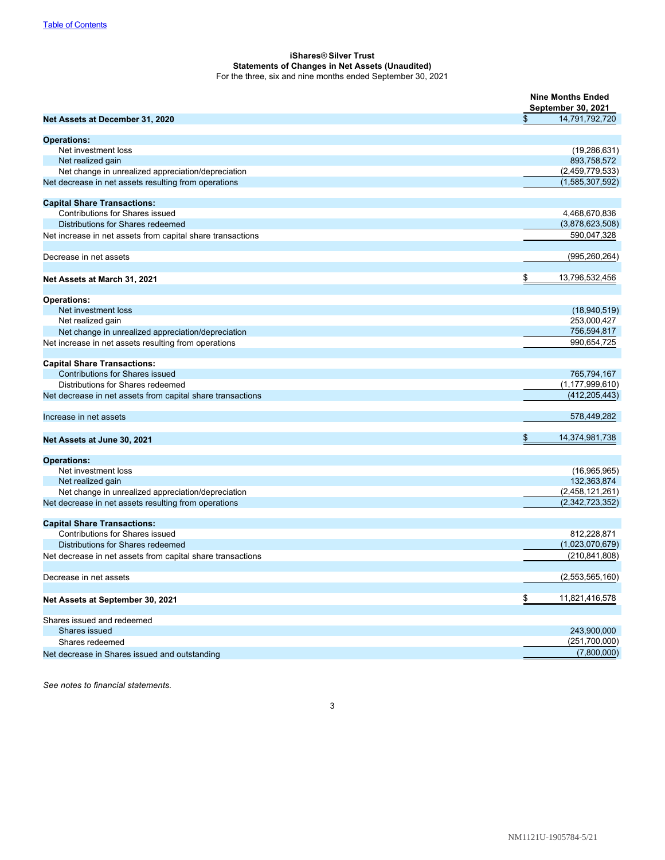## <span id="page-4-0"></span>**iShares**® **Silver Trust Statements of Changes in Net Assets (Unaudited)** For the three, six and nine months ended September 30, 2021

|                                                            | <b>Nine Months Ended</b><br>September 30, 2021 |
|------------------------------------------------------------|------------------------------------------------|
| Net Assets at December 31, 2020                            | \$<br>14,791,792,720                           |
| <b>Operations:</b>                                         |                                                |
| Net investment loss                                        | (19, 286, 631)                                 |
| Net realized gain                                          | 893,758,572                                    |
| Net change in unrealized appreciation/depreciation         | (2,459,779,533)                                |
| Net decrease in net assets resulting from operations       | (1,585,307,592)                                |
| <b>Capital Share Transactions:</b>                         |                                                |
| <b>Contributions for Shares issued</b>                     | 4,468,670,836                                  |
| Distributions for Shares redeemed                          | (3,878,623,508)                                |
| Net increase in net assets from capital share transactions | 590,047,328                                    |
| Decrease in net assets                                     | (995, 260, 264)                                |
|                                                            |                                                |
| Net Assets at March 31, 2021                               | \$<br>13,796,532,456                           |
| <b>Operations:</b>                                         |                                                |
| Net investment loss                                        | (18,940,519)                                   |
| Net realized gain                                          | 253,000,427                                    |
| Net change in unrealized appreciation/depreciation         | 756,594,817                                    |
| Net increase in net assets resulting from operations       | 990,654,725                                    |
| <b>Capital Share Transactions:</b>                         |                                                |
| <b>Contributions for Shares issued</b>                     | 765,794,167                                    |
| Distributions for Shares redeemed                          | (1, 177, 999, 610)                             |
| Net decrease in net assets from capital share transactions | (412, 205, 443)                                |
| Increase in net assets                                     | 578,449,282                                    |
| Net Assets at June 30, 2021                                | \$<br>14,374,981,738                           |
| <b>Operations:</b>                                         |                                                |
| Net investment loss                                        | (16,965,965)                                   |
| Net realized gain                                          | 132,363,874                                    |
| Net change in unrealized appreciation/depreciation         | (2,458,121,261)                                |
| Net decrease in net assets resulting from operations       | (2,342,723,352)                                |
| <b>Capital Share Transactions:</b>                         |                                                |
| <b>Contributions for Shares issued</b>                     | 812,228,871                                    |
| Distributions for Shares redeemed                          | (1,023,070,679)                                |
| Net decrease in net assets from capital share transactions | (210, 841, 808)                                |
| Decrease in net assets                                     | (2,553,565,160)                                |
|                                                            | \$<br>11,821,416,578                           |
| Net Assets at September 30, 2021                           |                                                |
| Shares issued and redeemed                                 |                                                |
| Shares issued                                              | 243,900,000                                    |
| Shares redeemed                                            | (251,700,000)                                  |
| Net decrease in Shares issued and outstanding              | (7,800,000)                                    |

*See notes to financial statements.*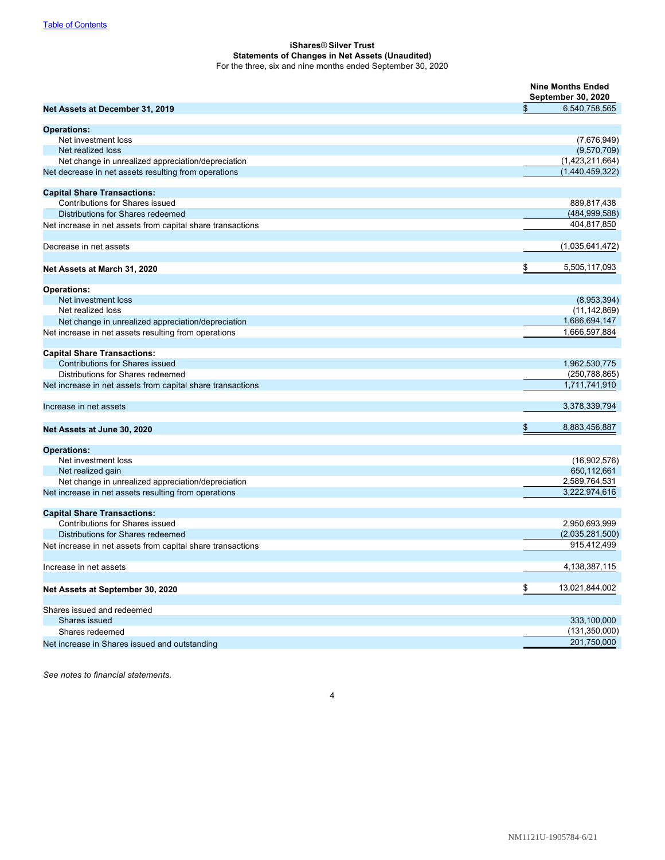#### **iShares**® **Silver Trust Statements of Changes in Net Assets (Unaudited)** For the three, six and nine months ended September 30, 2020

|                                                            | <b>Nine Months Ended</b><br><b>September 30, 2020</b> |
|------------------------------------------------------------|-------------------------------------------------------|
| Net Assets at December 31, 2019                            | \$<br>6,540,758,565                                   |
|                                                            |                                                       |
| <b>Operations:</b><br>Net investment loss                  | (7,676,949)                                           |
| Net realized loss                                          | (9,570,709)                                           |
| Net change in unrealized appreciation/depreciation         | (1,423,211,664)                                       |
| Net decrease in net assets resulting from operations       | (1,440,459,322)                                       |
| <b>Capital Share Transactions:</b>                         |                                                       |
| <b>Contributions for Shares issued</b>                     | 889,817,438                                           |
| Distributions for Shares redeemed                          | (484, 999, 588)                                       |
| Net increase in net assets from capital share transactions | 404,817,850                                           |
|                                                            |                                                       |
| Decrease in net assets                                     | (1,035,641,472)                                       |
| Net Assets at March 31, 2020                               | \$<br>5,505,117,093                                   |
| <b>Operations:</b>                                         |                                                       |
| Net investment loss                                        | (8,953,394)                                           |
| Net realized loss                                          | (11, 142, 869)                                        |
| Net change in unrealized appreciation/depreciation         | 1,686,694,147                                         |
| Net increase in net assets resulting from operations       | 1,666,597,884                                         |
| <b>Capital Share Transactions:</b>                         |                                                       |
| <b>Contributions for Shares issued</b>                     | 1,962,530,775                                         |
| Distributions for Shares redeemed                          | (250, 788, 865)                                       |
| Net increase in net assets from capital share transactions | 1,711,741,910                                         |
| Increase in net assets                                     | 3,378,339,794                                         |
| Net Assets at June 30, 2020                                | \$<br>8,883,456,887                                   |
| <b>Operations:</b>                                         |                                                       |
| Net investment loss                                        | (16,902,576)                                          |
| Net realized gain                                          | 650,112,661                                           |
| Net change in unrealized appreciation/depreciation         | 2,589,764,531                                         |
| Net increase in net assets resulting from operations       | 3,222,974,616                                         |
| <b>Capital Share Transactions:</b>                         |                                                       |
| <b>Contributions for Shares issued</b>                     | 2,950,693,999                                         |
| Distributions for Shares redeemed                          | (2,035,281,500)                                       |
| Net increase in net assets from capital share transactions | 915,412,499                                           |
| Increase in net assets                                     | 4,138,387,115                                         |
| Net Assets at September 30, 2020                           | \$<br>13,021,844,002                                  |
| Shares issued and redeemed                                 |                                                       |
| Shares issued                                              | 333,100,000                                           |
| Shares redeemed                                            | (131, 350, 000)                                       |
|                                                            | 201,750,000                                           |
| Net increase in Shares issued and outstanding              |                                                       |

*See notes to financial statements.*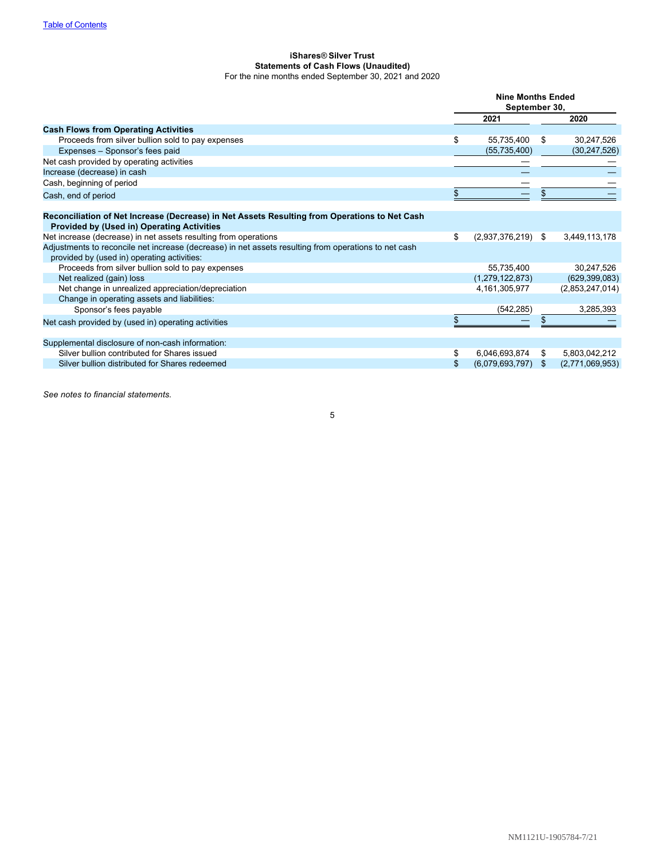## <span id="page-6-0"></span>**iShares**® **Silver Trust Statements of Cash Flows (Unaudited)** For the nine months ended September 30, 2021 and 2020

|                                                                                                                                                     |    | <b>Nine Months Ended</b><br>September 30, |    |                 |
|-----------------------------------------------------------------------------------------------------------------------------------------------------|----|-------------------------------------------|----|-----------------|
|                                                                                                                                                     |    | 2021                                      |    | 2020            |
| <b>Cash Flows from Operating Activities</b>                                                                                                         |    |                                           |    |                 |
| Proceeds from silver bullion sold to pay expenses                                                                                                   | \$ | 55,735,400                                | S  | 30,247,526      |
| Expenses - Sponsor's fees paid                                                                                                                      |    | (55, 735, 400)                            |    | (30, 247, 526)  |
| Net cash provided by operating activities                                                                                                           |    |                                           |    |                 |
| Increase (decrease) in cash                                                                                                                         |    |                                           |    |                 |
| Cash, beginning of period                                                                                                                           |    |                                           |    |                 |
| Cash, end of period                                                                                                                                 | \$ |                                           |    |                 |
| Reconciliation of Net Increase (Decrease) in Net Assets Resulting from Operations to Net Cash<br><b>Provided by (Used in) Operating Activities</b>  |    |                                           |    |                 |
| Net increase (decrease) in net assets resulting from operations                                                                                     | \$ | $(2,937,376,219)$ \$                      |    | 3,449,113,178   |
| Adjustments to reconcile net increase (decrease) in net assets resulting from operations to net cash<br>provided by (used in) operating activities: |    |                                           |    |                 |
| Proceeds from silver bullion sold to pay expenses                                                                                                   |    | 55,735,400                                |    | 30,247,526      |
| Net realized (gain) loss                                                                                                                            |    | (1,279,122,873)                           |    | (629, 399, 083) |
| Net change in unrealized appreciation/depreciation                                                                                                  |    | 4,161,305,977                             |    | (2,853,247,014) |
| Change in operating assets and liabilities:                                                                                                         |    |                                           |    |                 |
| Sponsor's fees payable                                                                                                                              |    | (542, 285)                                |    | 3,285,393       |
| Net cash provided by (used in) operating activities                                                                                                 |    |                                           |    |                 |
| Supplemental disclosure of non-cash information:                                                                                                    |    |                                           |    |                 |
| Silver bullion contributed for Shares issued                                                                                                        | \$ | 6,046,693,874                             | \$ | 5,803,042,212   |
| Silver bullion distributed for Shares redeemed                                                                                                      | S  | $(6,079,693,797)$ \$                      |    | (2,771,069,953) |

*See notes to financial statements.*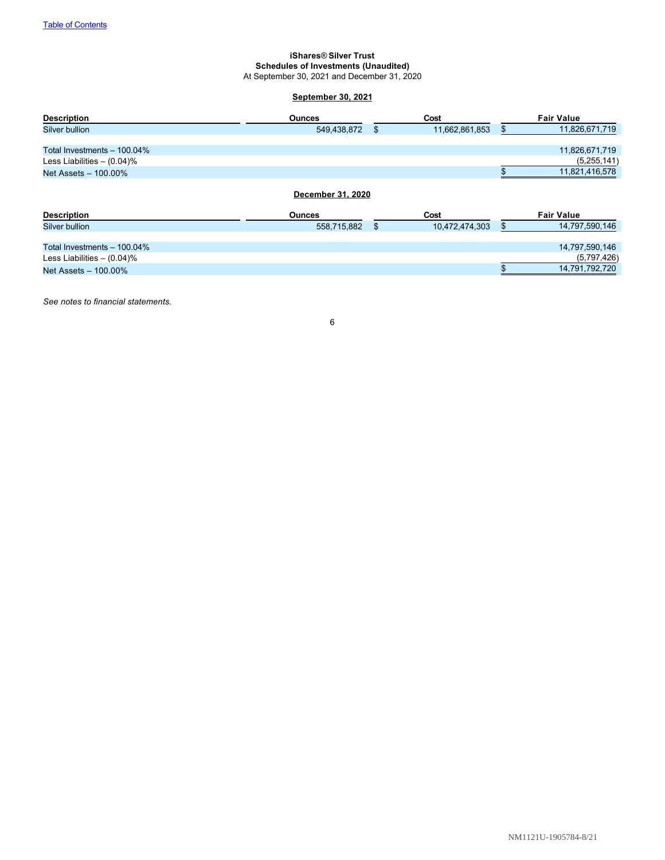## **iShares**® **Silver Trust Schedules of Investments (Unaudited)** At September 30, 2021 and December 31, 2020

## <span id="page-7-0"></span>**September 30, 2021**

| <b>Description</b>            | <b>Ounces</b>     | Cost                 | <b>Fair Value</b>    |
|-------------------------------|-------------------|----------------------|----------------------|
| Silver bullion                | 549,438,872       | \$<br>11,662,861,853 | \$<br>11,826,671,719 |
|                               |                   |                      |                      |
| Total Investments - 100.04%   |                   |                      | 11,826,671,719       |
| Less Liabilities $- (0.04)\%$ |                   |                      | (5,255,141)          |
| Net Assets - 100.00%          |                   |                      | 11,821,416,578       |
|                               | December 31, 2020 |                      |                      |
| <b>Description</b>            | <b>Ounces</b>     | Cost                 | <b>Fair Value</b>    |
| Silver bullion                | 558,715,882       | \$<br>10,472,474,303 | \$<br>14,797,590,146 |
|                               |                   |                      |                      |
| Total Investments - 100.04%   |                   |                      | 14,797,590,146       |
| Less Liabilities $- (0.04)\%$ |                   |                      | (5,797,426)          |
| Net Assets - 100.00%          |                   |                      | 14,791,792,720       |

*See notes to financial statements.*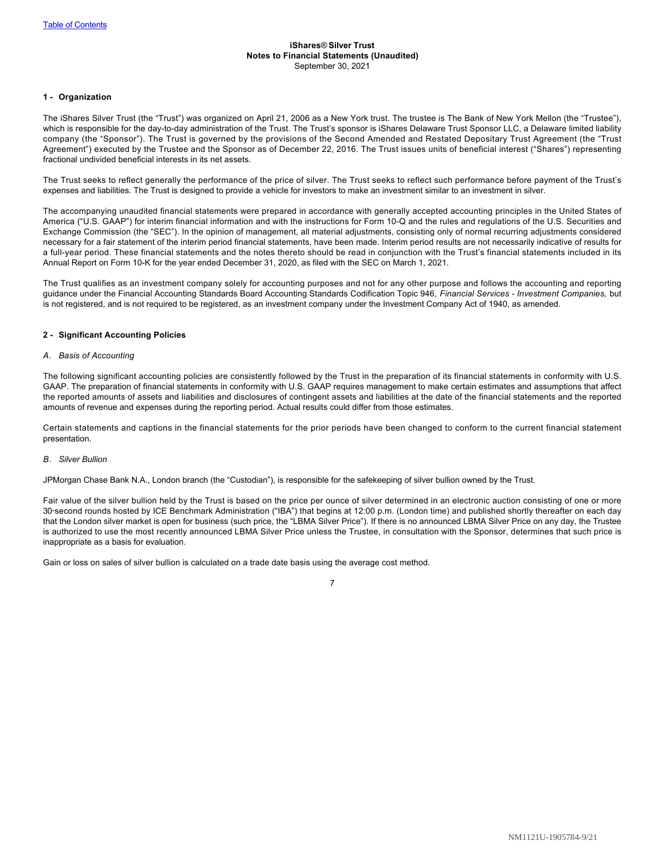#### <span id="page-8-0"></span>**iShares**® **Silver Trust Notes to Financial Statements (Unaudited)** September 30, 2021

### **1 - Organization**

The iShares Silver Trust (the "Trust") was organized on April 21, 2006 as a New York trust. The trustee is The Bank of New York Mellon (the "Trustee"), which is responsible for the day-to-day administration of the Trust. The Trust's sponsor is iShares Delaware Trust Sponsor LLC, a Delaware limited liability company (the "Sponsor"). The Trust is governed by the provisions of the Second Amended and Restated Depositary Trust Agreement (the "Trust Agreement") executed by the Trustee and the Sponsor as of December 22, 2016. The Trust issues units of beneficial interest ("Shares") representing fractional undivided beneficial interests in its net assets.

The Trust seeks to reflect generally the performance of the price of silver. The Trust seeks to reflect such performance before payment of the Trust's expenses and liabilities. The Trust is designed to provide a vehicle for investors to make an investment similar to an investment in silver.

The accompanying unaudited financial statements were prepared in accordance with generally accepted accounting principles in the United States of America ("U.S. GAAP") for interim financial information and with the instructions for Form 10-Q and the rules and regulations of the U.S. Securities and Exchange Commission (the "SEC"). In the opinion of management, all material adjustments, consisting only of normal recurring adjustments considered necessary for a fair statement of the interim period financial statements, have been made. Interim period results are not necessarily indicative of results for a full-year period. These financial statements and the notes thereto should be read in conjunction with the Trust's financial statements included in its Annual Report on Form 10-K for the year ended December 31, 2020, as filed with the SEC on March 1, 2021.

The Trust qualifies as an investment company solely for accounting purposes and not for any other purpose and follows the accounting and reporting guidance under the Financial Accounting Standards Board Accounting Standards Codification Topic 946, *Financial Services - Investment Companies,* but is not registered, and is not required to be registered, as an investment company under the Investment Company Act of 1940, as amended.

#### **2 - Significant Accounting Policies**

#### *A. Basis of Accounting*

The following significant accounting policies are consistently followed by the Trust in the preparation of its financial statements in conformity with U.S. GAAP. The preparation of financial statements in conformity with U.S. GAAP requires management to make certain estimates and assumptions that affect the reported amounts of assets and liabilities and disclosures of contingent assets and liabilities at the date of the financial statements and the reported amounts of revenue and expenses during the reporting period. Actual results could differ from those estimates.

Certain statements and captions in the financial statements for the prior periods have been changed to conform to the current financial statement presentation.

#### *B. Silver Bullion*

JPMorgan Chase Bank N.A., London branch (the "Custodian"), is responsible for the safekeeping of silver bullion owned by the Trust.

Fair value of the silver bullion held by the Trust is based on the price per ounce of silver determined in an electronic auction consisting of one or more 30‑second rounds hosted by ICE Benchmark Administration ("IBA") that begins at 12:00 p.m. (London time) and published shortly thereafter on each day that the London silver market is open for business (such price, the "LBMA Silver Price"). If there is no announced LBMA Silver Price on any day, the Trustee is authorized to use the most recently announced LBMA Silver Price unless the Trustee, in consultation with the Sponsor, determines that such price is inappropriate as a basis for evaluation.

Gain or loss on sales of silver bullion is calculated on a trade date basis using the average cost method.

| ٦ | I<br>I |  |
|---|--------|--|
|   |        |  |
|   |        |  |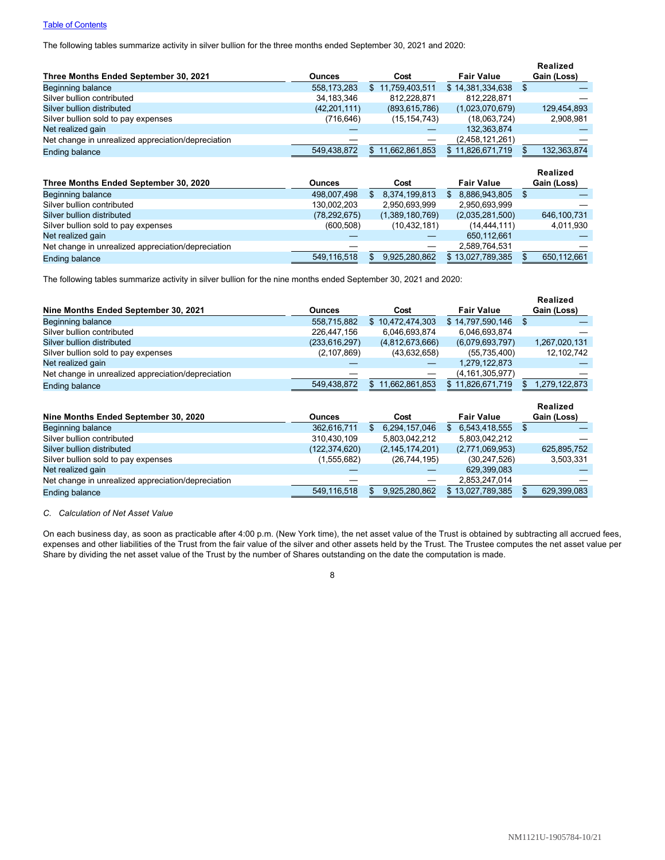## **[Table of Contents](#page-1-0)**

The following tables summarize activity in silver bullion for the three months ended September 30, 2021 and 2020:

|                                                    |                |                     |                     | Realized                |
|----------------------------------------------------|----------------|---------------------|---------------------|-------------------------|
| Three Months Ended September 30, 2021              | <b>Ounces</b>  | Cost                | <b>Fair Value</b>   | Gain (Loss)             |
| Beginning balance                                  | 558, 173, 283  | \$11,759,403,511    | \$14,381,334,638    | \$                      |
| Silver bullion contributed                         | 34,183,346     | 812.228.871         | 812.228.871         |                         |
| Silver bullion distributed                         | (42, 201, 111) | (893, 615, 786)     | (1,023,070,679)     | 129,454,893             |
| Silver bullion sold to pay expenses                | (716, 646)     | (15, 154, 743)      | (18,063,724)        | 2,908,981               |
| Net realized gain                                  |                |                     | 132,363,874         |                         |
| Net change in unrealized appreciation/depreciation |                |                     | (2,458,121,261)     |                         |
| <b>Ending balance</b>                              | 549,438,872    | \$11,662,861,853    | \$11,826,671,719    | 132,363,874             |
| Three Months Ended September 30, 2020              | <b>Ounces</b>  | Cost                | <b>Fair Value</b>   | Realized<br>Gain (Loss) |
| Beginning balance                                  | 498,007,498    | 8,374,199,813<br>\$ | 8,886,943,805<br>\$ | \$                      |
| Silver bullion contributed                         | 130,002,203    | 2,950,693,999       | 2,950,693,999       |                         |
| Silver bullion distributed                         | (78, 292, 675) | (1,389,180,769)     | (2,035,281,500)     | 646,100,731             |
| Silver bullion sold to pay expenses                | (600, 508)     | (10, 432, 181)      | (14, 444, 111)      | 4,011,930               |
| Net realized gain                                  |                |                     | 650,112,661         |                         |
| Net change in unrealized appreciation/depreciation |                |                     | 2,589,764,531       |                         |
| <b>Ending balance</b>                              | 549,116,518    | 9.925.280.862       | \$13,027,789,385    | 650.112.661             |

The following tables summarize activity in silver bullion for the nine months ended September 30, 2021 and 2020:

|                                                    |                 |                  |                    | Realized      |
|----------------------------------------------------|-----------------|------------------|--------------------|---------------|
| Nine Months Ended September 30, 2021               | <b>Ounces</b>   | Cost             | <b>Fair Value</b>  | Gain (Loss)   |
| Beginning balance                                  | 558,715,882     | \$10,472,474,303 | \$14.797.590.146   |               |
| Silver bullion contributed                         | 226.447.156     | 6,046,693,874    | 6,046,693,874      |               |
| Silver bullion distributed                         | (233, 616, 297) | (4,812,673,666)  | (6,079,693,797)    | 1,267,020,131 |
| Silver bullion sold to pay expenses                | (2, 107, 869)   | (43,632,658)     | (55, 735, 400)     | 12,102,742    |
| Net realized gain                                  |                 |                  | 1,279,122,873      |               |
| Net change in unrealized appreciation/depreciation |                 |                  | (4, 161, 305, 977) |               |
| Ending balance                                     | 549.438.872     | 11.662.861.853   | \$11,826,671,719   | 1,279,122,873 |

|                                                    |                 |                    |    |                   | Realized    |
|----------------------------------------------------|-----------------|--------------------|----|-------------------|-------------|
| Nine Months Ended September 30, 2020               | <b>Ounces</b>   | Cost               |    | <b>Fair Value</b> | Gain (Loss) |
| Beginning balance                                  | 362.616.711     | 6.294.157.046      | S. | 6.543.418.555     |             |
| Silver bullion contributed                         | 310,430,109     | 5,803,042,212      |    | 5,803,042,212     |             |
| Silver bullion distributed                         | (122, 374, 620) | (2, 145, 174, 201) |    | (2,771,069,953)   | 625,895,752 |
| Silver bullion sold to pay expenses                | (1,555,682)     | (26, 744, 195)     |    | (30, 247, 526)    | 3,503,331   |
| Net realized gain                                  |                 |                    |    | 629,399,083       |             |
| Net change in unrealized appreciation/depreciation |                 |                    |    | 2,853,247,014     |             |
| <b>Ending balance</b>                              | 549,116,518     | 9.925.280.862      |    | \$13,027,789,385  | 629.399.083 |

*C. Calculation of Net Asset Value*

On each business day, as soon as practicable after 4:00 p.m. (New York time), the net asset value of the Trust is obtained by subtracting all accrued fees, expenses and other liabilities of the Trust from the fair value of the silver and other assets held by the Trust. The Trustee computes the net asset value per Share by dividing the net asset value of the Trust by the number of Shares outstanding on the date the computation is made.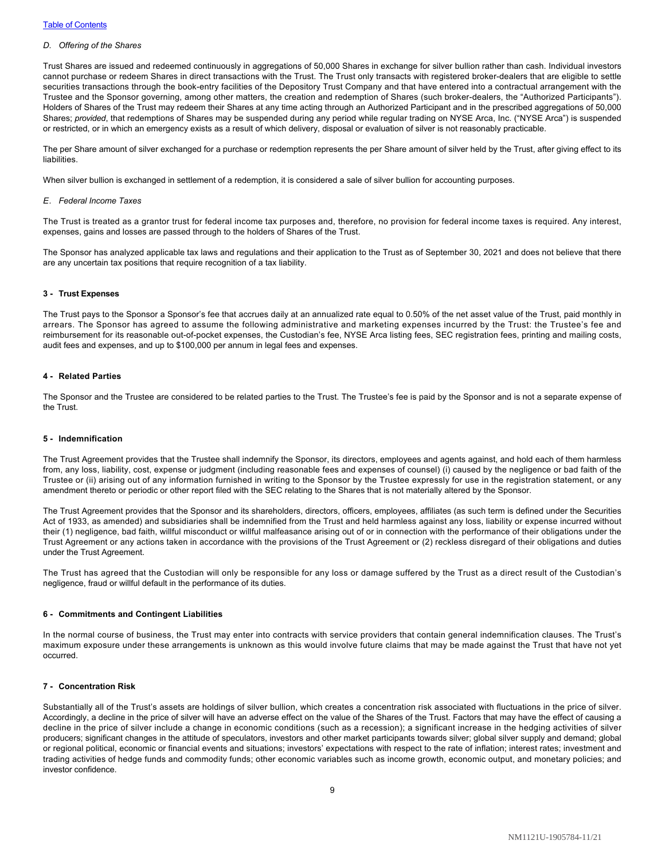#### *D. Offering of the Shares*

Trust Shares are issued and redeemed continuously in aggregations of 50,000 Shares in exchange for silver bullion rather than cash. Individual investors cannot purchase or redeem Shares in direct transactions with the Trust. The Trust only transacts with registered broker-dealers that are eligible to settle securities transactions through the book-entry facilities of the Depository Trust Company and that have entered into a contractual arrangement with the Trustee and the Sponsor governing, among other matters, the creation and redemption of Shares (such broker-dealers, the "Authorized Participants"). Holders of Shares of the Trust may redeem their Shares at any time acting through an Authorized Participant and in the prescribed aggregations of 50,000 Shares; *provided*, that redemptions of Shares may be suspended during any period while regular trading on NYSE Arca, Inc. ("NYSE Arca") is suspended or restricted, or in which an emergency exists as a result of which delivery, disposal or evaluation of silver is not reasonably practicable.

The per Share amount of silver exchanged for a purchase or redemption represents the per Share amount of silver held by the Trust, after giving effect to its liabilities.

When silver bullion is exchanged in settlement of a redemption, it is considered a sale of silver bullion for accounting purposes.

#### *E. Federal Income Taxes*

The Trust is treated as a grantor trust for federal income tax purposes and, therefore, no provision for federal income taxes is required. Any interest, expenses, gains and losses are passed through to the holders of Shares of the Trust.

The Sponsor has analyzed applicable tax laws and regulations and their application to the Trust as of September 30, 2021 and does not believe that there are any uncertain tax positions that require recognition of a tax liability.

#### **3 - Trust Expenses**

The Trust pays to the Sponsor a Sponsor's fee that accrues daily at an annualized rate equal to 0.50% of the net asset value of the Trust, paid monthly in arrears. The Sponsor has agreed to assume the following administrative and marketing expenses incurred by the Trust: the Trustee's fee and reimbursement for its reasonable out-of-pocket expenses, the Custodian's fee, NYSE Arca listing fees, SEC registration fees, printing and mailing costs, audit fees and expenses, and up to \$100,000 per annum in legal fees and expenses.

#### **4 - Related Parties**

The Sponsor and the Trustee are considered to be related parties to the Trust. The Trustee's fee is paid by the Sponsor and is not a separate expense of the Trust.

#### **5 - Indemnification**

The Trust Agreement provides that the Trustee shall indemnify the Sponsor, its directors, employees and agents against, and hold each of them harmless from, any loss, liability, cost, expense or judgment (including reasonable fees and expenses of counsel) (i) caused by the negligence or bad faith of the Trustee or (ii) arising out of any information furnished in writing to the Sponsor by the Trustee expressly for use in the registration statement, or any amendment thereto or periodic or other report filed with the SEC relating to the Shares that is not materially altered by the Sponsor.

The Trust Agreement provides that the Sponsor and its shareholders, directors, officers, employees, affiliates (as such term is defined under the Securities Act of 1933, as amended) and subsidiaries shall be indemnified from the Trust and held harmless against any loss, liability or expense incurred without their (1) negligence, bad faith, willful misconduct or willful malfeasance arising out of or in connection with the performance of their obligations under the Trust Agreement or any actions taken in accordance with the provisions of the Trust Agreement or (2) reckless disregard of their obligations and duties under the Trust Agreement.

The Trust has agreed that the Custodian will only be responsible for any loss or damage suffered by the Trust as a direct result of the Custodian's negligence, fraud or willful default in the performance of its duties.

#### **6 - Commitments and Contingent Liabilities**

In the normal course of business, the Trust may enter into contracts with service providers that contain general indemnification clauses. The Trust's maximum exposure under these arrangements is unknown as this would involve future claims that may be made against the Trust that have not yet occurred.

#### **7 - Concentration Risk**

Substantially all of the Trust's assets are holdings of silver bullion, which creates a concentration risk associated with fluctuations in the price of silver. Accordingly, a decline in the price of silver will have an adverse effect on the value of the Shares of the Trust. Factors that may have the effect of causing a decline in the price of silver include a change in economic conditions (such as a recession); a significant increase in the hedging activities of silver producers; significant changes in the attitude of speculators, investors and other market participants towards silver; global silver supply and demand; global or regional political, economic or financial events and situations; investors' expectations with respect to the rate of inflation; interest rates; investment and trading activities of hedge funds and commodity funds; other economic variables such as income growth, economic output, and monetary policies; and investor confidence.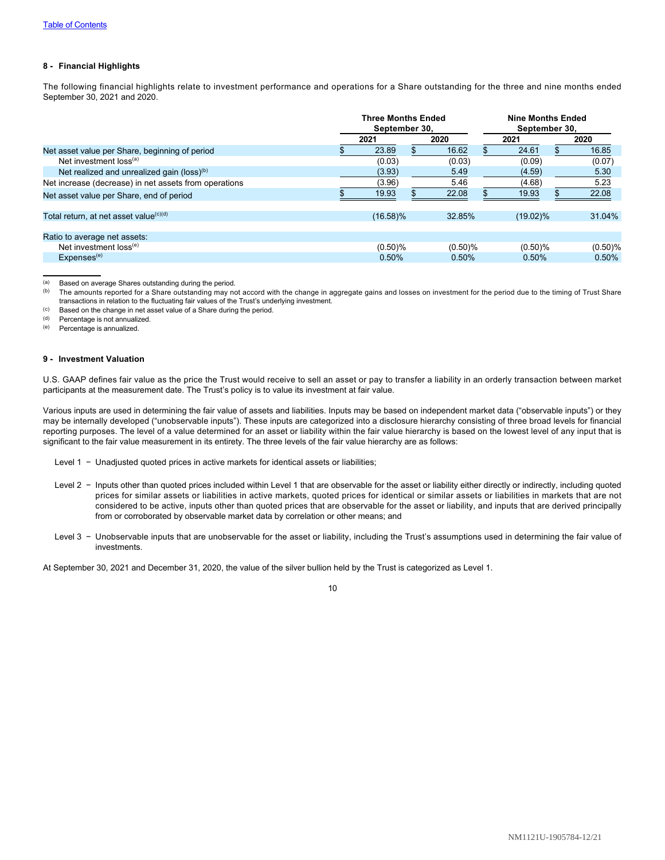## **8 - Financial Highlights**

The following financial highlights relate to investment performance and operations for a Share outstanding for the three and nine months ended September 30, 2021 and 2020.

|                                                        | <b>Three Months Ended</b><br>September 30, |             |  | <b>Nine Months Ended</b><br>September 30, |  |             |  |            |
|--------------------------------------------------------|--------------------------------------------|-------------|--|-------------------------------------------|--|-------------|--|------------|
|                                                        |                                            | 2021        |  | 2020                                      |  | 2021        |  | 2020       |
| Net asset value per Share, beginning of period         |                                            | 23.89       |  | 16.62                                     |  | 24.61       |  | 16.85      |
| Net investment loss <sup>(a)</sup>                     |                                            | (0.03)      |  | (0.03)                                    |  | (0.09)      |  | (0.07)     |
| Net realized and unrealized gain (loss) <sup>(b)</sup> |                                            | (3.93)      |  | 5.49                                      |  | (4.59)      |  | 5.30       |
| Net increase (decrease) in net assets from operations  |                                            | (3.96)      |  | 5.46                                      |  | (4.68)      |  | 5.23       |
| Net asset value per Share, end of period               |                                            | 19.93       |  | 22.08                                     |  | 19.93       |  | 22.08      |
| Total return, at net asset value $(c)(d)$              |                                            | $(16.58)\%$ |  | 32.85%                                    |  | $(19.02)\%$ |  | 31.04%     |
| Ratio to average net assets:                           |                                            |             |  |                                           |  |             |  |            |
| Net investment loss <sup>(e)</sup>                     |                                            | $(0.50)$ %  |  | (0.50)%                                   |  | (0.50)%     |  | $(0.50)\%$ |
| Expenses <sup>(e)</sup>                                |                                            | 0.50%       |  | 0.50%                                     |  | 0.50%       |  | 0.50%      |

(a) Based on average Shares outstanding during the period.<br>(b) The amounts reported for a Share outstanding may no

- The amounts reported for a Share outstanding may not accord with the change in aggregate gains and losses on investment for the period due to the timing of Trust Share transactions in relation to the fluctuating fair values of the Trust's underlying investment.
- $(c)$  Based on the change in net asset value of a Share during the period.
- (d) Percentage is not annualized.
- (e) Percentage is annualized.

#### **9 - Investment Valuation**

U.S. GAAP defines fair value as the price the Trust would receive to sell an asset or pay to transfer a liability in an orderly transaction between market participants at the measurement date. The Trust's policy is to value its investment at fair value.

Various inputs are used in determining the fair value of assets and liabilities. Inputs may be based on independent market data ("observable inputs") or they may be internally developed ("unobservable inputs"). These inputs are categorized into a disclosure hierarchy consisting of three broad levels for financial reporting purposes. The level of a value determined for an asset or liability within the fair value hierarchy is based on the lowest level of any input that is significant to the fair value measurement in its entirety. The three levels of the fair value hierarchy are as follows:

- Level 1 − Unadjusted quoted prices in active markets for identical assets or liabilities;
- Level 2 Inputs other than quoted prices included within Level 1 that are observable for the asset or liability either directly or indirectly, including quoted prices for similar assets or liabilities in active markets, quoted prices for identical or similar assets or liabilities in markets that are not considered to be active, inputs other than quoted prices that are observable for the asset or liability, and inputs that are derived principally from or corroborated by observable market data by correlation or other means; and
- Level 3 Unobservable inputs that are unobservable for the asset or liability, including the Trust's assumptions used in determining the fair value of investments.

At September 30, 2021 and December 31, 2020, the value of the silver bullion held by the Trust is categorized as Level 1.

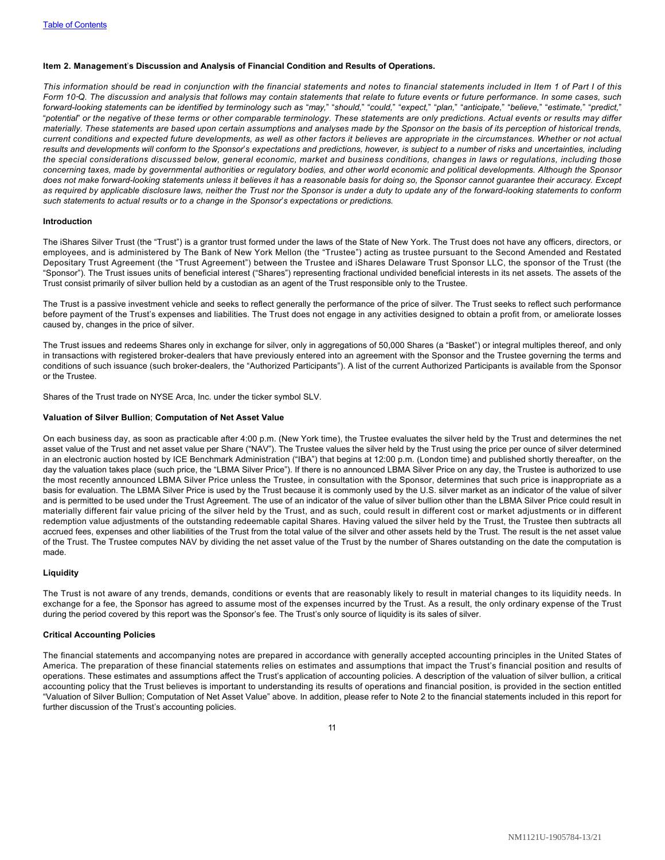### <span id="page-12-0"></span>**Item 2. Management**'**s Discussion and Analysis of Financial Condition and Results of Operations.**

*This information should be read in conjunction with the financial statements and notes to financial statements included in Item 1 of Part I of this Form 10*‑*Q. The discussion and analysis that follows may contain statements that relate to future events or future performance. In some cases, such* forward-looking statements can be identified by terminology such as "may," "should," "could," "expect," "plan," "anticipate," "believe," "estimate," "predict," "*potential*" *or the negative of these terms or other comparable terminology. These statements are only predictions. Actual events or results may differ materially. These statements are based upon certain assumptions and analyses made by the Sponsor on the basis of its perception of historical trends, current conditions and expected future developments, as well as other factors it believes are appropriate in the circumstances. Whether or not actual results and developments will conform to the Sponsor*'*s expectations and predictions, however, is subject to a number of risks and uncertainties, including the special considerations discussed below, general economic, market and business conditions, changes in laws or regulations, including those concerning taxes, made by governmental authorities or regulatory bodies, and other world economic and political developments. Although the Sponsor does not make forward-looking statements unless it believes it has a reasonable basis for doing so, the Sponsor cannot guarantee their accuracy. Except as required by applicable disclosure laws, neither the Trust nor the Sponsor is under a duty to update any of the forward-looking statements to conform such statements to actual results or to a change in the Sponsor*'*s expectations or predictions.*

#### **Introduction**

The iShares Silver Trust (the "Trust") is a grantor trust formed under the laws of the State of New York. The Trust does not have any officers, directors, or employees, and is administered by The Bank of New York Mellon (the "Trustee") acting as trustee pursuant to the Second Amended and Restated Depositary Trust Agreement (the "Trust Agreement") between the Trustee and iShares Delaware Trust Sponsor LLC, the sponsor of the Trust (the "Sponsor"). The Trust issues units of beneficial interest ("Shares") representing fractional undivided beneficial interests in its net assets. The assets of the Trust consist primarily of silver bullion held by a custodian as an agent of the Trust responsible only to the Trustee.

The Trust is a passive investment vehicle and seeks to reflect generally the performance of the price of silver. The Trust seeks to reflect such performance before payment of the Trust's expenses and liabilities. The Trust does not engage in any activities designed to obtain a profit from, or ameliorate losses caused by, changes in the price of silver.

The Trust issues and redeems Shares only in exchange for silver, only in aggregations of 50,000 Shares (a "Basket") or integral multiples thereof, and only in transactions with registered broker-dealers that have previously entered into an agreement with the Sponsor and the Trustee governing the terms and conditions of such issuance (such broker-dealers, the "Authorized Participants"). A list of the current Authorized Participants is available from the Sponsor or the Trustee.

Shares of the Trust trade on NYSE Arca, Inc. under the ticker symbol SLV.

#### **Valuation of Silver Bullion**; **Computation of Net Asset Value**

On each business day, as soon as practicable after 4:00 p.m. (New York time), the Trustee evaluates the silver held by the Trust and determines the net asset value of the Trust and net asset value per Share ("NAV"). The Trustee values the silver held by the Trust using the price per ounce of silver determined in an electronic auction hosted by ICE Benchmark Administration ("IBA") that begins at 12:00 p.m. (London time) and published shortly thereafter, on the day the valuation takes place (such price, the "LBMA Silver Price"). If there is no announced LBMA Silver Price on any day, the Trustee is authorized to use the most recently announced LBMA Silver Price unless the Trustee, in consultation with the Sponsor, determines that such price is inappropriate as a basis for evaluation. The LBMA Silver Price is used by the Trust because it is commonly used by the U.S. silver market as an indicator of the value of silver and is permitted to be used under the Trust Agreement. The use of an indicator of the value of silver bullion other than the LBMA Silver Price could result in materially different fair value pricing of the silver held by the Trust, and as such, could result in different cost or market adjustments or in different redemption value adjustments of the outstanding redeemable capital Shares. Having valued the silver held by the Trust, the Trustee then subtracts all accrued fees, expenses and other liabilities of the Trust from the total value of the silver and other assets held by the Trust. The result is the net asset value of the Trust. The Trustee computes NAV by dividing the net asset value of the Trust by the number of Shares outstanding on the date the computation is made.

#### **Liquidity**

The Trust is not aware of any trends, demands, conditions or events that are reasonably likely to result in material changes to its liquidity needs. In exchange for a fee, the Sponsor has agreed to assume most of the expenses incurred by the Trust. As a result, the only ordinary expense of the Trust during the period covered by this report was the Sponsor's fee. The Trust's only source of liquidity is its sales of silver.

#### **Critical Accounting Policies**

The financial statements and accompanying notes are prepared in accordance with generally accepted accounting principles in the United States of America. The preparation of these financial statements relies on estimates and assumptions that impact the Trust's financial position and results of operations. These estimates and assumptions affect the Trust's application of accounting policies. A description of the valuation of silver bullion, a critical accounting policy that the Trust believes is important to understanding its results of operations and financial position, is provided in the section entitled "Valuation of Silver Bullion; Computation of Net Asset Value" above. In addition, please refer to Note 2 to the financial statements included in this report for further discussion of the Trust's accounting policies.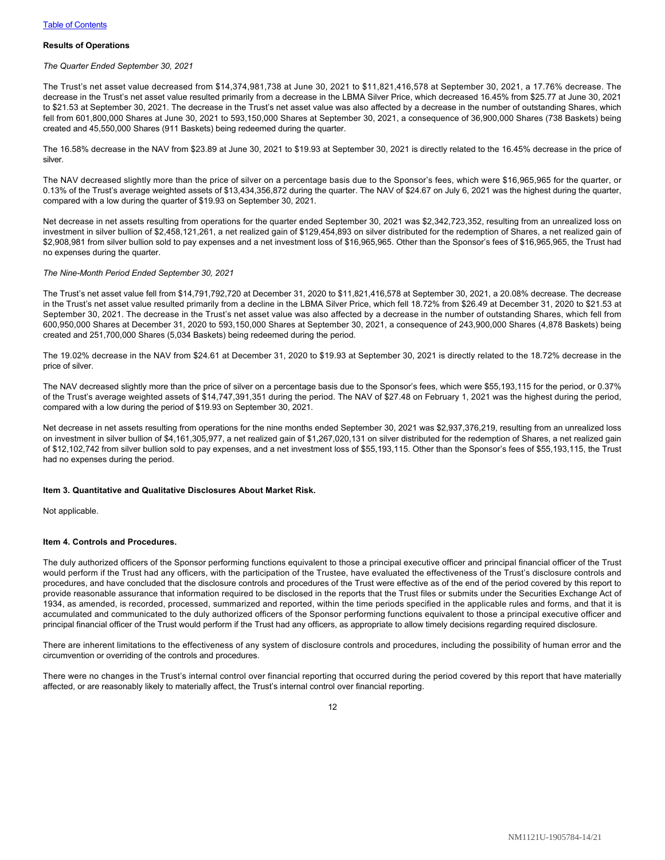#### **Results of Operations**

#### *The Quarter Ended September 30, 2021*

The Trust's net asset value decreased from \$14,374,981,738 at June 30, 2021 to \$11,821,416,578 at September 30, 2021, a 17.76% decrease. The decrease in the Trust's net asset value resulted primarily from a decrease in the LBMA Silver Price, which decreased 16.45% from \$25.77 at June 30, 2021 to \$21.53 at September 30, 2021. The decrease in the Trust's net asset value was also affected by a decrease in the number of outstanding Shares, which fell from 601,800,000 Shares at June 30, 2021 to 593,150,000 Shares at September 30, 2021, a consequence of 36,900,000 Shares (738 Baskets) being created and 45,550,000 Shares (911 Baskets) being redeemed during the quarter.

The 16.58% decrease in the NAV from \$23.89 at June 30, 2021 to \$19.93 at September 30, 2021 is directly related to the 16.45% decrease in the price of silver.

The NAV decreased slightly more than the price of silver on a percentage basis due to the Sponsor's fees, which were \$16,965,965 for the quarter, or 0.13% of the Trust's average weighted assets of \$13,434,356,872 during the quarter. The NAV of \$24.67 on July 6, 2021 was the highest during the quarter, compared with a low during the quarter of \$19.93 on September 30, 2021.

Net decrease in net assets resulting from operations for the quarter ended September 30, 2021 was \$2,342,723,352, resulting from an unrealized loss on investment in silver bullion of \$2,458,121,261, a net realized gain of \$129,454,893 on silver distributed for the redemption of Shares, a net realized gain of \$2,908,981 from silver bullion sold to pay expenses and a net investment loss of \$16,965,965. Other than the Sponsor's fees of \$16,965,965, the Trust had no expenses during the quarter.

#### *The Nine-Month Period Ended September 30, 2021*

The Trust's net asset value fell from \$14,791,792,720 at December 31, 2020 to \$11,821,416,578 at September 30, 2021, a 20.08% decrease. The decrease in the Trust's net asset value resulted primarily from a decline in the LBMA Silver Price, which fell 18.72% from \$26.49 at December 31, 2020 to \$21.53 at September 30, 2021. The decrease in the Trust's net asset value was also affected by a decrease in the number of outstanding Shares, which fell from 600,950,000 Shares at December 31, 2020 to 593,150,000 Shares at September 30, 2021, a consequence of 243,900,000 Shares (4,878 Baskets) being created and 251,700,000 Shares (5,034 Baskets) being redeemed during the period.

The 19.02% decrease in the NAV from \$24.61 at December 31, 2020 to \$19.93 at September 30, 2021 is directly related to the 18.72% decrease in the price of silver.

The NAV decreased slightly more than the price of silver on a percentage basis due to the Sponsor's fees, which were \$55,193,115 for the period, or 0.37% of the Trust's average weighted assets of \$14,747,391,351 during the period. The NAV of \$27.48 on February 1, 2021 was the highest during the period, compared with a low during the period of \$19.93 on September 30, 2021.

Net decrease in net assets resulting from operations for the nine months ended September 30, 2021 was \$2,937,376,219, resulting from an unrealized loss on investment in silver bullion of \$4,161,305,977, a net realized gain of \$1,267,020,131 on silver distributed for the redemption of Shares, a net realized gain of \$12,102,742 from silver bullion sold to pay expenses, and a net investment loss of \$55,193,115. Other than the Sponsor's fees of \$55,193,115, the Trust had no expenses during the period.

#### <span id="page-13-0"></span>**Item 3. Quantitative and Qualitative Disclosures About Market Risk.**

Not applicable.

#### <span id="page-13-1"></span>**Item 4. Controls and Procedures.**

The duly authorized officers of the Sponsor performing functions equivalent to those a principal executive officer and principal financial officer of the Trust would perform if the Trust had any officers, with the participation of the Trustee, have evaluated the effectiveness of the Trust's disclosure controls and procedures, and have concluded that the disclosure controls and procedures of the Trust were effective as of the end of the period covered by this report to provide reasonable assurance that information required to be disclosed in the reports that the Trust files or submits under the Securities Exchange Act of 1934, as amended, is recorded, processed, summarized and reported, within the time periods specified in the applicable rules and forms, and that it is accumulated and communicated to the duly authorized officers of the Sponsor performing functions equivalent to those a principal executive officer and principal financial officer of the Trust would perform if the Trust had any officers, as appropriate to allow timely decisions regarding required disclosure.

There are inherent limitations to the effectiveness of any system of disclosure controls and procedures, including the possibility of human error and the circumvention or overriding of the controls and procedures.

There were no changes in the Trust's internal control over financial reporting that occurred during the period covered by this report that have materially affected, or are reasonably likely to materially affect, the Trust's internal control over financial reporting.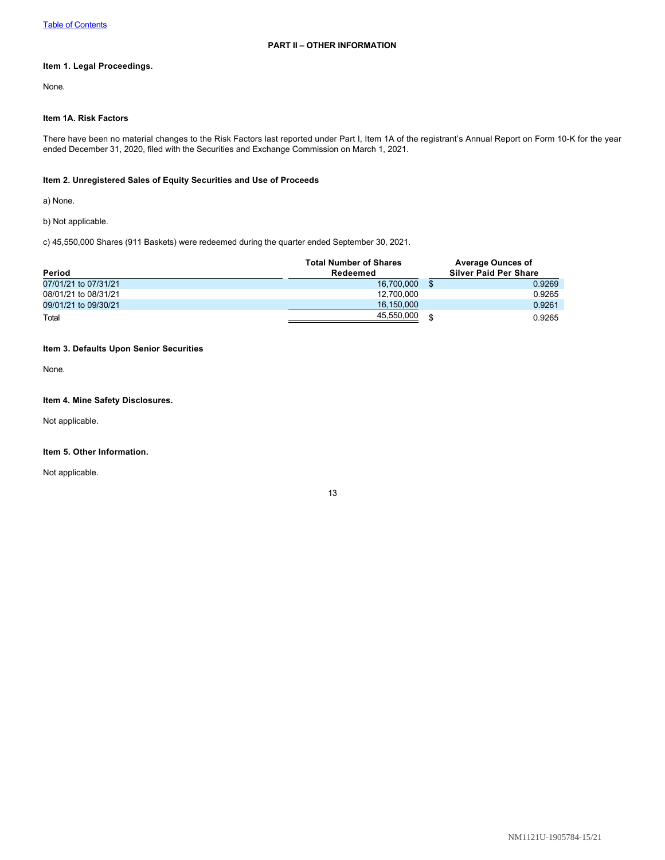## <span id="page-14-1"></span><span id="page-14-0"></span>**Item 1. Legal Proceedings.**

None.

## <span id="page-14-2"></span>**Item 1A. Risk Factors**

There have been no material changes to the Risk Factors last reported under Part I, Item 1A of the registrant's Annual Report on Form 10-K for the year ended December 31, 2020, filed with the Securities and Exchange Commission on March 1, 2021.

## <span id="page-14-3"></span>**Item 2. Unregistered Sales of Equity Securities and Use of Proceeds**

a) None.

b) Not applicable.

c) 45,550,000 Shares (911 Baskets) were redeemed during the quarter ended September 30, 2021.

| <b>Total Number of Shares</b><br>Period<br>Redeemed |            |    | <b>Average Ounces of</b><br><b>Silver Paid Per Share</b> |  |
|-----------------------------------------------------|------------|----|----------------------------------------------------------|--|
| 07/01/21 to 07/31/21                                | 16.700.000 |    | 0.9269                                                   |  |
| 08/01/21 to 08/31/21                                | 12.700.000 |    | 0.9265                                                   |  |
| 09/01/21 to 09/30/21                                | 16.150.000 |    | 0.9261                                                   |  |
| Total                                               | 45,550,000 | £. | 0.9265                                                   |  |

#### <span id="page-14-4"></span>**Item 3. Defaults Upon Senior Securities**

None.

## <span id="page-14-5"></span>**Item 4. Mine Safety Disclosures.**

Not applicable.

#### <span id="page-14-6"></span>**Item 5. Other Information.**

Not applicable.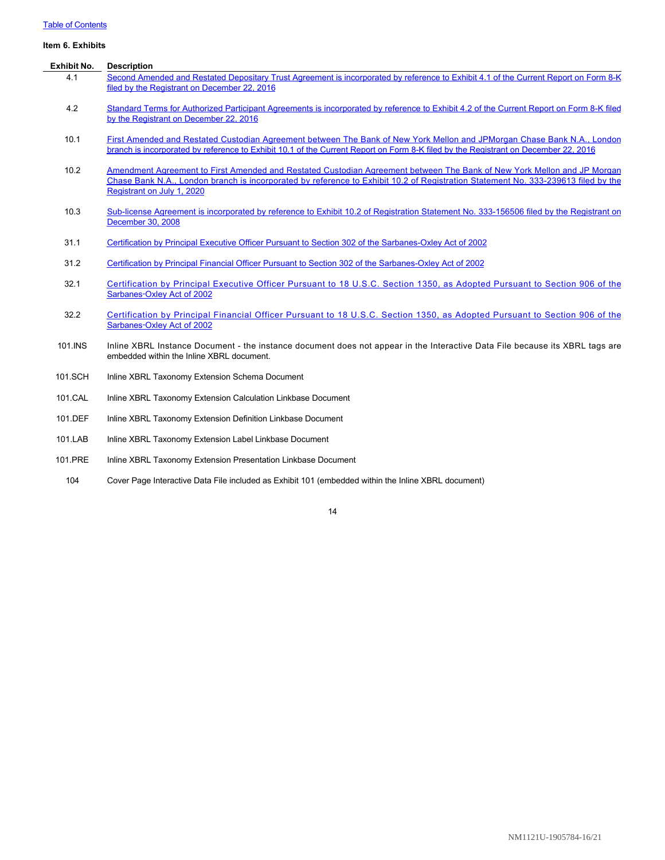# [Table of Contents](#page-1-0)

## <span id="page-15-0"></span>**Item 6. Exhibits**

| Exhibit No. | <b>Description</b>                                                                                                                                                                                                                                           |
|-------------|--------------------------------------------------------------------------------------------------------------------------------------------------------------------------------------------------------------------------------------------------------------|
| 4.1         | Second Amended and Restated Depositary Trust Agreement is incorporated by reference to Exhibit 4.1 of the Current Report on Form 8-K                                                                                                                         |
|             | filed by the Registrant on December 22, 2016                                                                                                                                                                                                                 |
| 4.2         | Standard Terms for Authorized Participant Agreements is incorporated by reference to Exhibit 4.2 of the Current Report on Form 8-K filed                                                                                                                     |
|             | by the Registrant on December 22, 2016                                                                                                                                                                                                                       |
| 10.1        | First Amended and Restated Custodian Agreement between The Bank of New York Mellon and JPMorgan Chase Bank N.A., London                                                                                                                                      |
|             | branch is incorporated by reference to Exhibit 10.1 of the Current Report on Form 8-K filed by the Registrant on December 22, 2016                                                                                                                           |
|             |                                                                                                                                                                                                                                                              |
| 10.2        | Amendment Agreement to First Amended and Restated Custodian Agreement between The Bank of New York Mellon and JP Morgan<br>Chase Bank N.A., London branch is incorporated by reference to Exhibit 10.2 of Registration Statement No. 333-239613 filed by the |
|             | Registrant on July 1, 2020                                                                                                                                                                                                                                   |
| 10.3        | Sub-license Agreement is incorporated by reference to Exhibit 10.2 of Registration Statement No. 333-156506 filed by the Registrant on                                                                                                                       |
|             | December 30, 2008                                                                                                                                                                                                                                            |
|             |                                                                                                                                                                                                                                                              |
| 31.1        | Certification by Principal Executive Officer Pursuant to Section 302 of the Sarbanes-Oxley Act of 2002                                                                                                                                                       |
| 31.2        | Certification by Principal Financial Officer Pursuant to Section 302 of the Sarbanes-Oxley Act of 2002                                                                                                                                                       |
| 32.1        | Certification by Principal Executive Officer Pursuant to 18 U.S.C. Section 1350, as Adopted Pursuant to Section 906 of the                                                                                                                                   |
|             | Sarbanes-Oxley Act of 2002                                                                                                                                                                                                                                   |
| 32.2        | Certification by Principal Financial Officer Pursuant to 18 U.S.C. Section 1350, as Adopted Pursuant to Section 906 of the                                                                                                                                   |
|             | Sarbanes-Oxley Act of 2002                                                                                                                                                                                                                                   |
| 101.INS     | Inline XBRL Instance Document - the instance document does not appear in the Interactive Data File because its XBRL tags are                                                                                                                                 |
|             | embedded within the Inline XBRL document.                                                                                                                                                                                                                    |
| 101.SCH     | Inline XBRL Taxonomy Extension Schema Document                                                                                                                                                                                                               |
|             |                                                                                                                                                                                                                                                              |
| 101.CAL     | Inline XBRL Taxonomy Extension Calculation Linkbase Document                                                                                                                                                                                                 |
| 101.DEF     | Inline XBRL Taxonomy Extension Definition Linkbase Document                                                                                                                                                                                                  |
| 101.LAB     | Inline XBRL Taxonomy Extension Label Linkbase Document                                                                                                                                                                                                       |
|             |                                                                                                                                                                                                                                                              |
|             |                                                                                                                                                                                                                                                              |

- 101.PRE Inline XBRL Taxonomy Extension Presentation Linkbase Document
- 104 Cover Page Interactive Data File included as Exhibit 101 (embedded within the Inline XBRL document)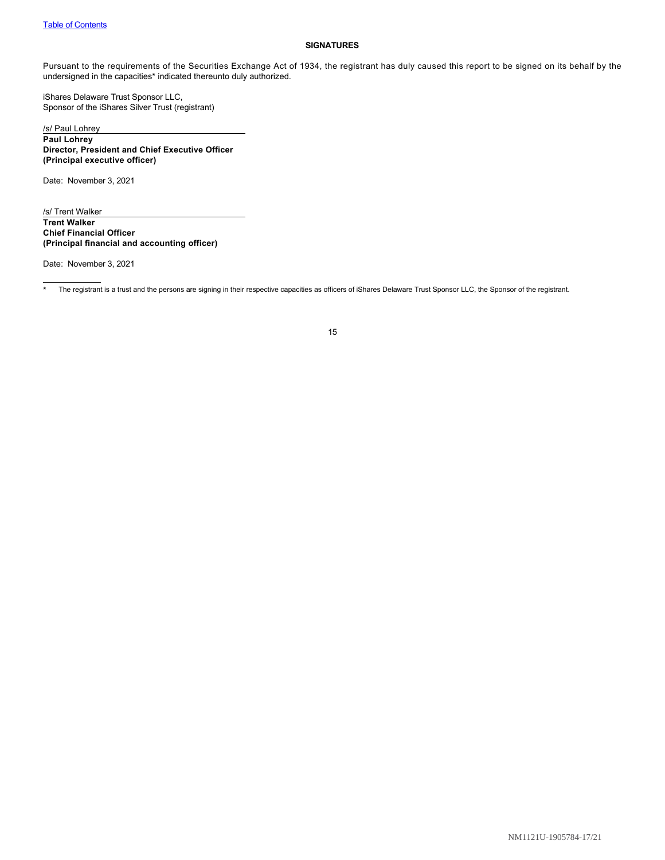#### <span id="page-16-0"></span>**SIGNATURES**

Pursuant to the requirements of the Securities Exchange Act of 1934, the registrant has duly caused this report to be signed on its behalf by the undersigned in the capacities\* indicated thereunto duly authorized.

iShares Delaware Trust Sponsor LLC, Sponsor of the iShares Silver Trust (registrant)

/s/ Paul Lohrey **Paul Lohrey Director, President and Chief Executive Officer (Principal executive officer)**

Date: November 3, 2021

/s/ Trent Walker **Trent Walker Chief Financial Officer (Principal financial and accounting officer)**

Date: November 3, 2021

\* The registrant is a trust and the persons are signing in their respective capacities as officers of iShares Delaware Trust Sponsor LLC, the Sponsor of the registrant.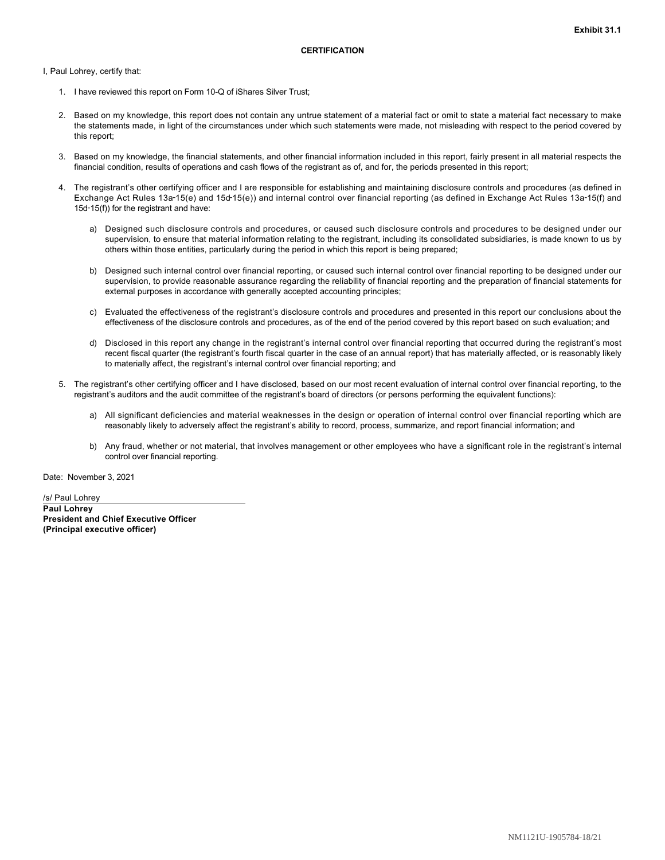<span id="page-17-0"></span>I, Paul Lohrey, certify that:

- 1. I have reviewed this report on Form 10-Q of iShares Silver Trust;
- 2. Based on my knowledge, this report does not contain any untrue statement of a material fact or omit to state a material fact necessary to make the statements made, in light of the circumstances under which such statements were made, not misleading with respect to the period covered by this report;
- 3. Based on my knowledge, the financial statements, and other financial information included in this report, fairly present in all material respects the financial condition, results of operations and cash flows of the registrant as of, and for, the periods presented in this report;
- 4. The registrant's other certifying officer and I are responsible for establishing and maintaining disclosure controls and procedures (as defined in Exchange Act Rules 13a-15(e) and 15d-15(e)) and internal control over financial reporting (as defined in Exchange Act Rules 13a-15(f) and 15d‑15(f)) for the registrant and have:
	- a) Designed such disclosure controls and procedures, or caused such disclosure controls and procedures to be designed under our supervision, to ensure that material information relating to the registrant, including its consolidated subsidiaries, is made known to us by others within those entities, particularly during the period in which this report is being prepared;
	- b) Designed such internal control over financial reporting, or caused such internal control over financial reporting to be designed under our supervision, to provide reasonable assurance regarding the reliability of financial reporting and the preparation of financial statements for external purposes in accordance with generally accepted accounting principles;
	- c) Evaluated the effectiveness of the registrant's disclosure controls and procedures and presented in this report our conclusions about the effectiveness of the disclosure controls and procedures, as of the end of the period covered by this report based on such evaluation; and
	- d) Disclosed in this report any change in the registrant's internal control over financial reporting that occurred during the registrant's most recent fiscal quarter (the registrant's fourth fiscal quarter in the case of an annual report) that has materially affected, or is reasonably likely to materially affect, the registrant's internal control over financial reporting; and
- 5. The registrant's other certifying officer and I have disclosed, based on our most recent evaluation of internal control over financial reporting, to the registrant's auditors and the audit committee of the registrant's board of directors (or persons performing the equivalent functions):
	- a) All significant deficiencies and material weaknesses in the design or operation of internal control over financial reporting which are reasonably likely to adversely affect the registrant's ability to record, process, summarize, and report financial information; and
	- b) Any fraud, whether or not material, that involves management or other employees who have a significant role in the registrant's internal control over financial reporting.

Date: November 3, 2021

/s/ Paul Lohrey **Paul Lohrey President and Chief Executive Officer (Principal executive officer)**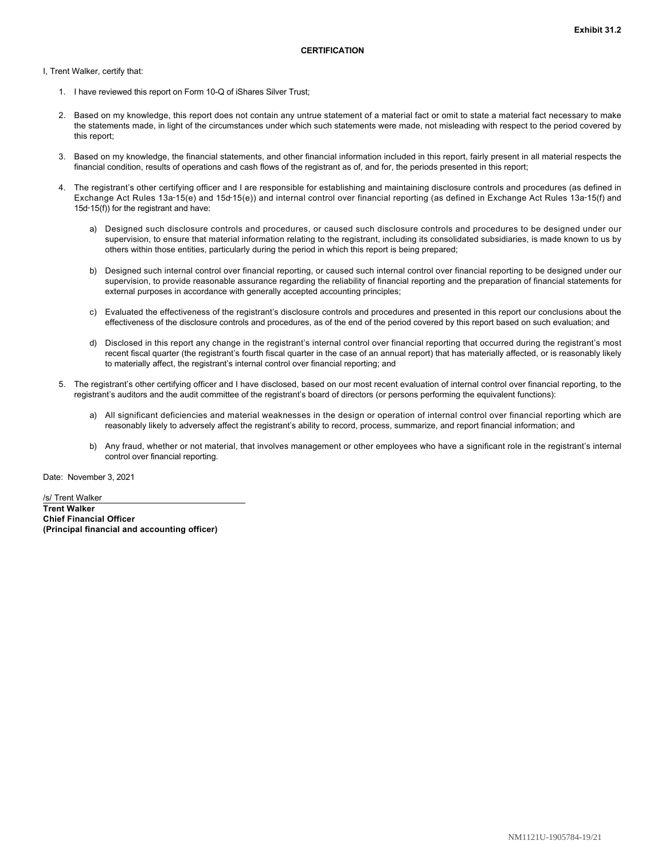<span id="page-18-0"></span>I, Trent Walker, certify that:

- 1. I have reviewed this report on Form 10-Q of iShares Silver Trust;
- 2. Based on my knowledge, this report does not contain any untrue statement of a material fact or omit to state a material fact necessary to make the statements made, in light of the circumstances under which such statements were made, not misleading with respect to the period covered by this report;
- 3. Based on my knowledge, the financial statements, and other financial information included in this report, fairly present in all material respects the financial condition, results of operations and cash flows of the registrant as of, and for, the periods presented in this report;
- 4. The registrant's other certifying officer and I are responsible for establishing and maintaining disclosure controls and procedures (as defined in Exchange Act Rules 13a-15(e) and 15d-15(e)) and internal control over financial reporting (as defined in Exchange Act Rules 13a-15(f) and 15d‑15(f)) for the registrant and have:
	- a) Designed such disclosure controls and procedures, or caused such disclosure controls and procedures to be designed under our supervision, to ensure that material information relating to the registrant, including its consolidated subsidiaries, is made known to us by others within those entities, particularly during the period in which this report is being prepared;
	- b) Designed such internal control over financial reporting, or caused such internal control over financial reporting to be designed under our supervision, to provide reasonable assurance regarding the reliability of financial reporting and the preparation of financial statements for external purposes in accordance with generally accepted accounting principles;
	- c) Evaluated the effectiveness of the registrant's disclosure controls and procedures and presented in this report our conclusions about the effectiveness of the disclosure controls and procedures, as of the end of the period covered by this report based on such evaluation; and
	- d) Disclosed in this report any change in the registrant's internal control over financial reporting that occurred during the registrant's most recent fiscal quarter (the registrant's fourth fiscal quarter in the case of an annual report) that has materially affected, or is reasonably likely to materially affect, the registrant's internal control over financial reporting; and
- 5. The registrant's other certifying officer and I have disclosed, based on our most recent evaluation of internal control over financial reporting, to the registrant's auditors and the audit committee of the registrant's board of directors (or persons performing the equivalent functions):
	- a) All significant deficiencies and material weaknesses in the design or operation of internal control over financial reporting which are reasonably likely to adversely affect the registrant's ability to record, process, summarize, and report financial information; and
	- b) Any fraud, whether or not material, that involves management or other employees who have a significant role in the registrant's internal control over financial reporting.

Date: November 3, 2021

/s/ Trent Walker **Trent Walker Chief Financial Officer (Principal financial and accounting officer)**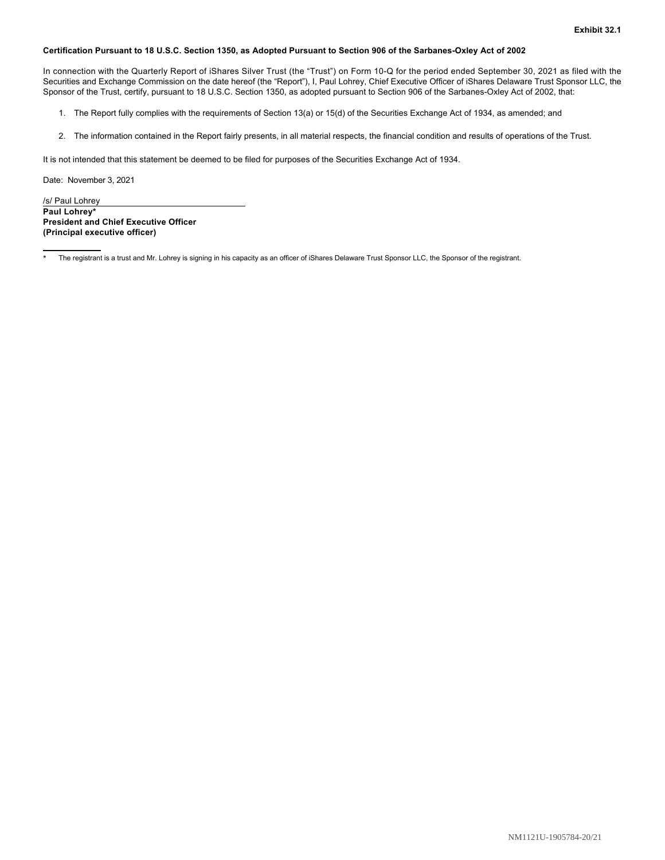#### <span id="page-19-0"></span>**Certification Pursuant to 18 U.S.C. Section 1350, as Adopted Pursuant to Section 906 of the Sarbanes-Oxley Act of 2002**

In connection with the Quarterly Report of iShares Silver Trust (the "Trust") on Form 10-Q for the period ended September 30, 2021 as filed with the Securities and Exchange Commission on the date hereof (the "Report"), I, Paul Lohrey, Chief Executive Officer of iShares Delaware Trust Sponsor LLC, the Sponsor of the Trust, certify, pursuant to 18 U.S.C. Section 1350, as adopted pursuant to Section 906 of the Sarbanes-Oxley Act of 2002, that:

- 1. The Report fully complies with the requirements of Section 13(a) or 15(d) of the Securities Exchange Act of 1934, as amended; and
- 2. The information contained in the Report fairly presents, in all material respects, the financial condition and results of operations of the Trust.

It is not intended that this statement be deemed to be filed for purposes of the Securities Exchange Act of 1934.

Date: November 3, 2021

/s/ Paul Lohrey **Paul Lohrey\* President and Chief Executive Officer (Principal executive officer)**

The registrant is a trust and Mr. Lohrey is signing in his capacity as an officer of iShares Delaware Trust Sponsor LLC, the Sponsor of the registrant.